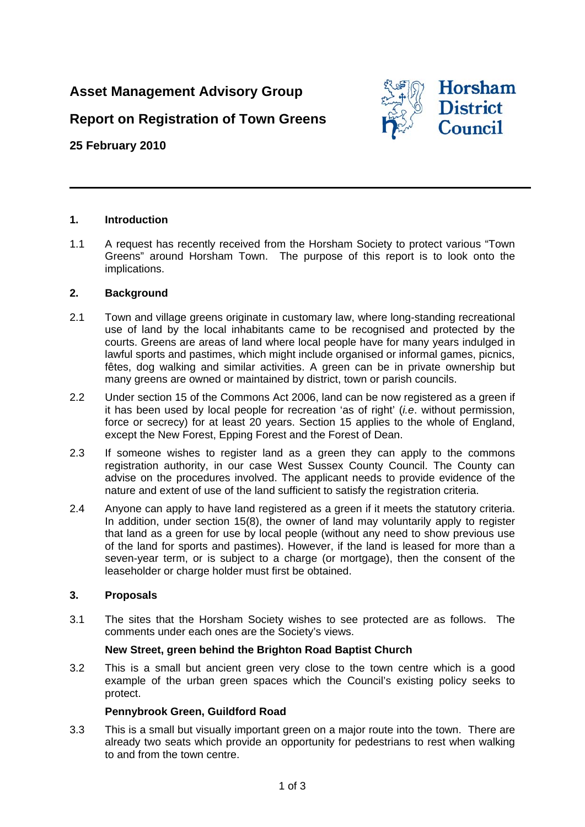# **Asset Management Advisory Group**

# **Report on Registration of Town Greens**

# **25 February 2010**



## **1. Introduction**

1.1 A request has recently received from the Horsham Society to protect various "Town Greens" around Horsham Town. The purpose of this report is to look onto the implications.

## **2. Background**

- 2.1 Town and village greens originate in customary law, where long-standing recreational use of land by the local inhabitants came to be recognised and protected by the courts. Greens are areas of land where local people have for many years indulged in lawful sports and pastimes, which might include organised or informal games, picnics, fêtes, dog walking and similar activities. A green can be in private ownership but many greens are owned or maintained by district, town or parish councils.
- 2.2 Under section 15 of the Commons Act 2006, land can be now registered as a green if it has been used by local people for recreation 'as of right' (*i.e*. without permission, force or secrecy) for at least 20 years. Section 15 applies to the whole of England, except the New Forest, Epping Forest and the Forest of Dean.
- 2.3 If someone wishes to register land as a green they can apply to the commons registration authority, in our case West Sussex County Council. The County can advise on the procedures involved. The applicant needs to provide evidence of the nature and extent of use of the land sufficient to satisfy the registration criteria.
- 2.4 Anyone can apply to have land registered as a green if it meets the statutory criteria. In addition, under section 15(8), the owner of land may voluntarily apply to register that land as a green for use by local people (without any need to show previous use of the land for sports and pastimes). However, if the land is leased for more than a seven-year term, or is subject to a charge (or mortgage), then the consent of the leaseholder or charge holder must first be obtained.

#### **3. Proposals**

3.1 The sites that the Horsham Society wishes to see protected are as follows. The comments under each ones are the Society's views.

# **New Street, green behind the Brighton Road Baptist Church**

3.2 This is a small but ancient green very close to the town centre which is a good example of the urban green spaces which the Council's existing policy seeks to protect.

# **Pennybrook Green, Guildford Road**

3.3 This is a small but visually important green on a major route into the town. There are already two seats which provide an opportunity for pedestrians to rest when walking to and from the town centre.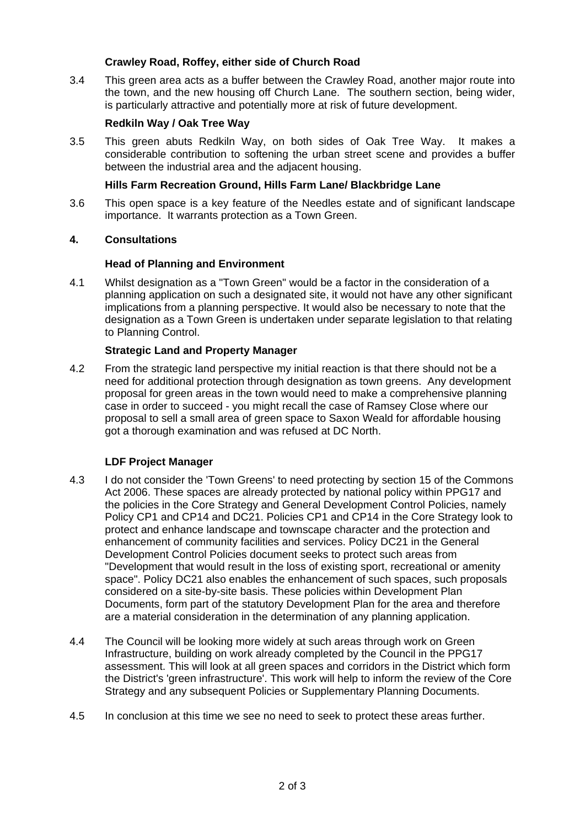## **Crawley Road, Roffey, either side of Church Road**

3.4 This green area acts as a buffer between the Crawley Road, another major route into the town, and the new housing off Church Lane. The southern section, being wider, is particularly attractive and potentially more at risk of future development.

## **Redkiln Way / Oak Tree Way**

3.5 This green abuts Redkiln Way, on both sides of Oak Tree Way. It makes a considerable contribution to softening the urban street scene and provides a buffer between the industrial area and the adjacent housing.

#### **Hills Farm Recreation Ground, Hills Farm Lane/ Blackbridge Lane**

3.6 This open space is a key feature of the Needles estate and of significant landscape importance. It warrants protection as a Town Green.

#### **4. Consultations**

## **Head of Planning and Environment**

4.1 Whilst designation as a "Town Green" would be a factor in the consideration of a planning application on such a designated site, it would not have any other significant implications from a planning perspective. It would also be necessary to note that the designation as a Town Green is undertaken under separate legislation to that relating to Planning Control.

## **Strategic Land and Property Manager**

4.2 From the strategic land perspective my initial reaction is that there should not be a need for additional protection through designation as town greens. Any development proposal for green areas in the town would need to make a comprehensive planning case in order to succeed - you might recall the case of Ramsey Close where our proposal to sell a small area of green space to Saxon Weald for affordable housing got a thorough examination and was refused at DC North.

# **LDF Project Manager**

- 4.3 I do not consider the 'Town Greens' to need protecting by section 15 of the Commons Act 2006. These spaces are already protected by national policy within PPG17 and the policies in the Core Strategy and General Development Control Policies, namely Policy CP1 and CP14 and DC21. Policies CP1 and CP14 in the Core Strategy look to protect and enhance landscape and townscape character and the protection and enhancement of community facilities and services. Policy DC21 in the General Development Control Policies document seeks to protect such areas from "Development that would result in the loss of existing sport, recreational or amenity space". Policy DC21 also enables the enhancement of such spaces, such proposals considered on a site-by-site basis. These policies within Development Plan Documents, form part of the statutory Development Plan for the area and therefore are a material consideration in the determination of any planning application.
- 4.4 The Council will be looking more widely at such areas through work on Green Infrastructure, building on work already completed by the Council in the PPG17 assessment. This will look at all green spaces and corridors in the District which form the District's 'green infrastructure'. This work will help to inform the review of the Core Strategy and any subsequent Policies or Supplementary Planning Documents.
- 4.5 In conclusion at this time we see no need to seek to protect these areas further.